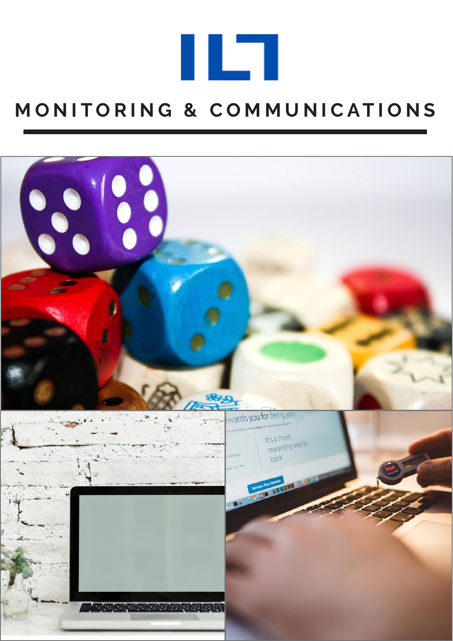

## **M O N I T O R I N G & C O M M U N I C A T I O N S**